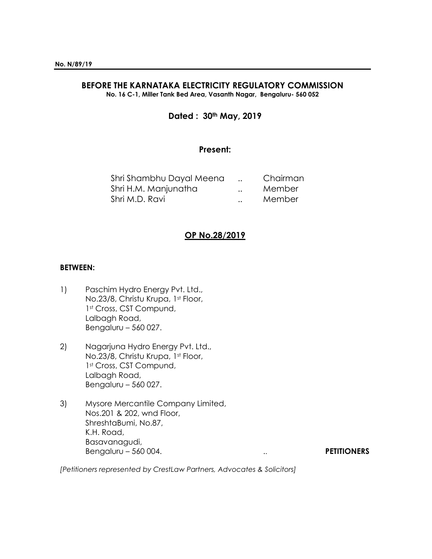# **BEFORE THE KARNATAKA ELECTRICITY REGULATORY COMMISSION**

**No. 16 C-1, Miller Tank Bed Area, Vasanth Nagar, Bengaluru- 560 052**

## **Dated : 30th May, 2019**

## **Present:**

| Shri Shambhu Dayal Meena |                      | Chairman |
|--------------------------|----------------------|----------|
| Shri H.M. Manjunatha     | $\ddot{\phantom{0}}$ | Member   |
| Shri M.D. Ravi           | $\ddot{\phantom{0}}$ | Member   |

## **OP No.28/2019**

#### **BETWEEN:**

- 1) Paschim Hydro Energy Pvt. Ltd., No.23/8, Christu Krupa, 1st Floor, 1<sup>st</sup> Cross, CST Compund, Lalbagh Road, Bengaluru – 560 027.
- 2) Nagarjuna Hydro Energy Pvt. Ltd., No.23/8, Christu Krupa, 1st Floor, 1<sup>st</sup> Cross, CST Compund, Lalbagh Road, Bengaluru – 560 027.
- 3) Mysore Mercantile Company Limited, Nos.201 & 202, wnd Floor, ShreshtaBumi, No.87, K.H. Road, Basavanagudi, Bengaluru – 560 004. **PETITIONERS**

*[Petitioners represented by CrestLaw Partners, Advocates & Solicitors]*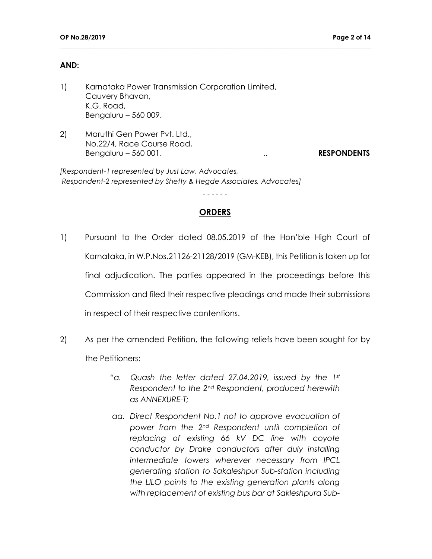#### **AND:**

- 1) Karnataka Power Transmission Corporation Limited, Cauvery Bhavan, K.G. Road, Bengaluru – 560 009.
- 2) Maruthi Gen Power Pvt. Ltd., No.22/4, Race Course Road, Bengaluru – 560 001. **RESPONDENTS**

*[Respondent-1 represented by Just Law, Advocates, Respondent-2 represented by Shetty & Hegde Associates, Advocates]*

#### **ORDERS**

- - - - - -

- 1) Pursuant to the Order dated 08.05.2019 of the Hon'ble High Court of Karnataka, in W.P.Nos.21126-21128/2019 (GM-KEB), this Petition is taken up for final adjudication. The parties appeared in the proceedings before this Commission and filed their respective pleadings and made their submissions in respect of their respective contentions.
- 2) As per the amended Petition, the following reliefs have been sought for by the Petitioners:
	- *"a. Quash the letter dated 27.04.2019, issued by the 1st Respondent to the 2nd Respondent, produced herewith as ANNEXURE-T;*
	- *aa. Direct Respondent No.1 not to approve evacuation of power from the 2nd Respondent until completion of replacing of existing 66 kV DC line with coyote conductor by Drake conductors after duly installing intermediate towers wherever necessary from IPCL generating station to Sakaleshpur Sub-station including the LILO points to the existing generation plants along with replacement of existing bus bar at Sakleshpura Sub-*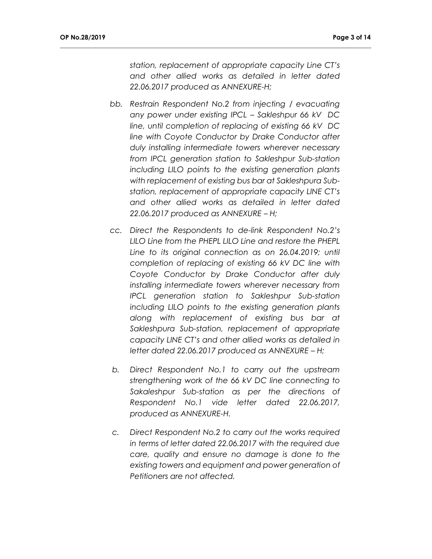*station, replacement of appropriate capacity Line CT's and other allied works as detailed in letter dated 22.06.2017 produced as ANNEXURE-H;*

- *bb. Restrain Respondent No.2 from injecting / evacuating any power under existing IPCL – Sakleshpur 66 kV DC line, until completion of replacing of existing 66 kV DC line with Coyote Conductor by Drake Conductor after duly installing intermediate towers wherever necessary from IPCL generation station to Sakleshpur Sub-station including LILO points to the existing generation plants with replacement of existing bus bar at Sakleshpura Substation, replacement of appropriate capacity LINE CT's and other allied works as detailed in letter dated 22.06.2017 produced as ANNEXURE – H;*
- *cc. Direct the Respondents to de-link Respondent No.2's LILO Line from the PHEPL LILO Line and restore the PHEPL Line to its original connection as on 26.04.2019; until completion of replacing of existing 66 kV DC line with Coyote Conductor by Drake Conductor after duly installing intermediate towers wherever necessary from IPCL generation station to Sakleshpur Sub-station including LILO points to the existing generation plants along with replacement of existing bus bar at Sakleshpura Sub-station, replacement of appropriate capacity LINE CT's and other allied works as detailed in letter dated 22.06.2017 produced as ANNEXURE – H;*
- *b. Direct Respondent No.1 to carry out the upstream strengthening work of the 66 kV DC line connecting to Sakaleshpur Sub-station as per the directions of Respondent No.1 vide letter dated 22.06.2017, produced as ANNEXURE-H.*
- *c. Direct Respondent No.2 to carry out the works required in terms of letter dated 22.06.2017 with the required due care, quality and ensure no damage is done to the existing towers and equipment and power generation of Petitioners are not affected.*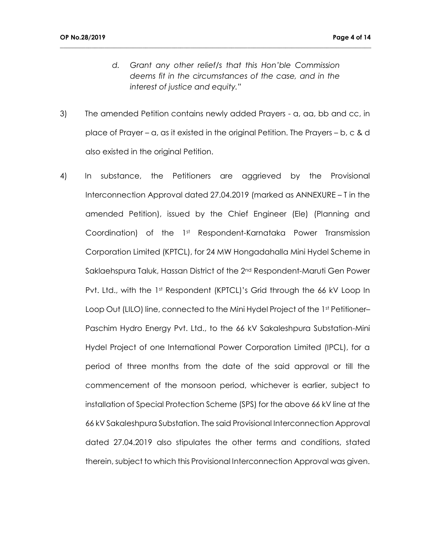*d. Grant any other relief/s that this Hon'ble Commission deems fit in the circumstances of the case, and in the interest of justice and equity."*

- 3) The amended Petition contains newly added Prayers a, aa, bb and cc, in place of Prayer – a, as it existed in the original Petition. The Prayers – b, c & d also existed in the original Petition.
- 4) In substance, the Petitioners are aggrieved by the Provisional Interconnection Approval dated 27.04.2019 (marked as ANNEXURE – T in the amended Petition), issued by the Chief Engineer (Ele) (Planning and Coordination) of the 1<sup>st</sup> Respondent-Karnataka Power Transmission Corporation Limited (KPTCL), for 24 MW Hongadahalla Mini Hydel Scheme in Saklaehspura Taluk, Hassan District of the 2<sup>nd</sup> Respondent-Maruti Gen Power Pvt. Ltd., with the 1st Respondent (KPTCL)'s Grid through the 66 kV Loop In Loop Out (LILO) line, connected to the Mini Hydel Project of the 1st Petitioner– Paschim Hydro Energy Pvt. Ltd., to the 66 kV Sakaleshpura Substation-Mini Hydel Project of one International Power Corporation Limited (IPCL), for a period of three months from the date of the said approval or till the commencement of the monsoon period, whichever is earlier, subject to installation of Special Protection Scheme (SPS) for the above 66 kV line at the 66 kV Sakaleshpura Substation. The said Provisional Interconnection Approval dated 27.04.2019 also stipulates the other terms and conditions, stated therein, subject to which this Provisional Interconnection Approval was given.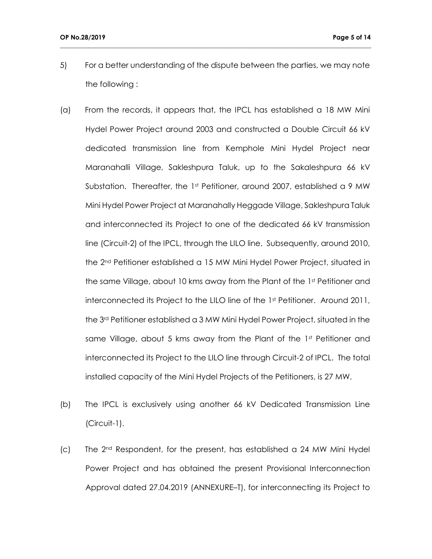5) For a better understanding of the dispute between the parties, we may note the following :

- (a) From the records, it appears that, the IPCL has established a 18 MW Mini Hydel Power Project around 2003 and constructed a Double Circuit 66 kV dedicated transmission line from Kemphole Mini Hydel Project near Maranahalli Village, Sakleshpura Taluk, up to the Sakaleshpura 66 kV Substation. Thereafter, the 1st Petitioner, around 2007, established a 9 MW Mini Hydel Power Project at Maranahally Heggade Village, Sakleshpura Taluk and interconnected its Project to one of the dedicated 66 kV transmission line (Circuit-2) of the IPCL, through the LILO line. Subsequently, around 2010, the 2nd Petitioner established a 15 MW Mini Hydel Power Project, situated in the same Village, about 10 kms away from the Plant of the 1st Petitioner and interconnected its Project to the LILO line of the 1st Petitioner. Around 2011, the 3rd Petitioner established a 3 MW Mini Hydel Power Project, situated in the same Village, about 5 kms away from the Plant of the 1st Petitioner and interconnected its Project to the LILO line through Circuit-2 of IPCL. The total installed capacity of the Mini Hydel Projects of the Petitioners, is 27 MW.
- (b) The IPCL is exclusively using another 66 kV Dedicated Transmission Line (Circuit-1).
- $(c)$  The 2<sup>nd</sup> Respondent, for the present, has established a 24 MW Mini Hydel Power Project and has obtained the present Provisional Interconnection Approval dated 27.04.2019 (ANNEXURE–T), for interconnecting its Project to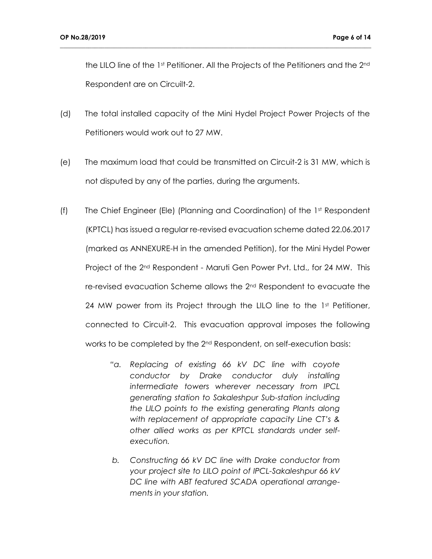the LILO line of the 1st Petitioner. All the Projects of the Petitioners and the 2<sup>nd</sup> Respondent are on Circuilt-2.

(d) The total installed capacity of the Mini Hydel Project Power Projects of the Petitioners would work out to 27 MW.

- (e) The maximum load that could be transmitted on Circuit-2 is 31 MW, which is not disputed by any of the parties, during the arguments.
- (f) The Chief Engineer (Ele) (Planning and Coordination) of the 1st Respondent (KPTCL) has issued a regular re-revised evacuation scheme dated 22.06.2017 (marked as ANNEXURE-H in the amended Petition), for the Mini Hydel Power Project of the 2<sup>nd</sup> Respondent - Maruti Gen Power Pvt. Ltd., for 24 MW. This re-revised evacuation Scheme allows the 2nd Respondent to evacuate the 24 MW power from its Project through the LILO line to the  $1<sup>st</sup>$  Petitioner, connected to Circuit-2. This evacuation approval imposes the following works to be completed by the 2nd Respondent, on self-execution basis:
	- *"a. Replacing of existing 66 kV DC line with coyote conductor by Drake conductor duly installing intermediate towers wherever necessary from IPCL generating station to Sakaleshpur Sub-station including the LILO points to the existing generating Plants along with replacement of appropriate capacity Line CT's & other allied works as per KPTCL standards under selfexecution.*
	- *b. Constructing 66 kV DC line with Drake conductor from your project site to LILO point of IPCL-Sakaleshpur 66 kV DC line with ABT featured SCADA operational arrangements in your station.*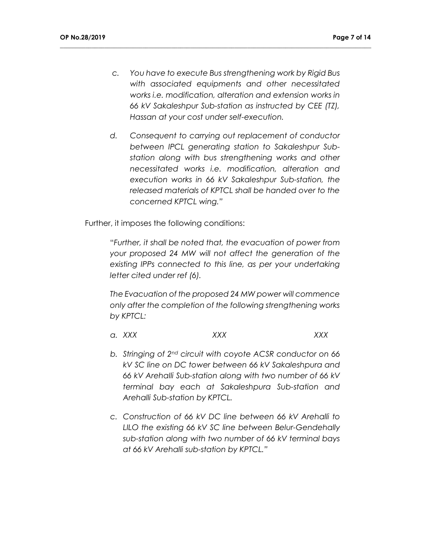*c. You have to execute Bus strengthening work by Rigid Bus with associated equipments and other necessitated works i.e. modification, alteration and extension works in 66 kV Sakaleshpur Sub-station as instructed by CEE (TZ), Hassan at your cost under self-execution.*

**\_\_\_\_\_\_\_\_\_\_\_\_\_\_\_\_\_\_\_\_\_\_\_\_\_\_\_\_\_\_\_\_\_\_\_\_\_\_\_\_\_\_\_\_\_\_\_\_\_\_\_\_\_\_\_\_\_\_\_\_\_\_\_\_\_\_\_\_\_\_\_\_\_\_\_\_\_\_\_\_\_\_\_\_\_\_\_\_\_\_\_\_\_\_\_\_\_\_**

*d. Consequent to carrying out replacement of conductor between IPCL generating station to Sakaleshpur Substation along with bus strengthening works and other necessitated works i.e. modification, alteration and execution works in 66 kV Sakaleshpur Sub-station, the released materials of KPTCL shall be handed over to the concerned KPTCL wing."*

Further, it imposes the following conditions:

"*Further, it shall be noted that, the evacuation of power from your proposed 24 MW will not affect the generation of the existing IPPs connected to this line, as per your undertaking letter cited under ref (6).*

*The Evacuation of the proposed 24 MW power will commence only after the completion of the following strengthening works by KPTCL:*

- *a. XXX XXX XXX*
- *b. Stringing of 2nd circuit with coyote ACSR conductor on 66 kV SC line on DC tower between 66 kV Sakaleshpura and 66 kV ArehaIli Sub-station along with two number of 66 kV terminal bay each at Sakaleshpura Sub-station and Arehalli Sub-station by KPTCL.*
- *c. Construction of 66 kV DC line between 66 kV Arehalli to LILO the existing 66 kV SC line between Belur-Gendehally sub-station along with two number of 66 kV terminal bays at 66 kV Arehalli sub-station by KPTCL."*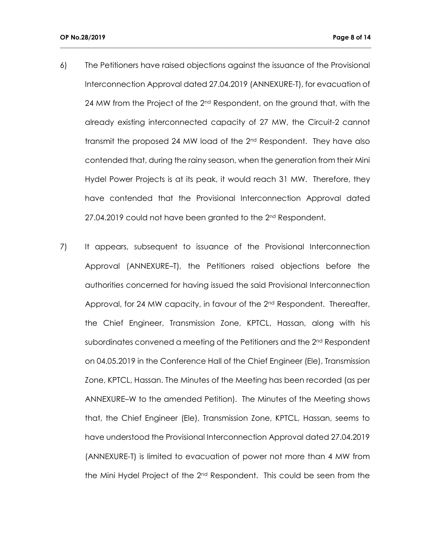6) The Petitioners have raised objections against the issuance of the Provisional Interconnection Approval dated 27.04.2019 (ANNEXURE-T), for evacuation of 24 MW from the Project of the  $2<sup>nd</sup>$  Respondent, on the ground that, with the already existing interconnected capacity of 27 MW, the Circuit-2 cannot transmit the proposed 24 MW load of the  $2<sup>nd</sup>$  Respondent. They have also contended that, during the rainy season, when the generation from their Mini Hydel Power Projects is at its peak, it would reach 31 MW. Therefore, they have contended that the Provisional Interconnection Approval dated 27.04.2019 could not have been granted to the 2<sup>nd</sup> Respondent.

**\_\_\_\_\_\_\_\_\_\_\_\_\_\_\_\_\_\_\_\_\_\_\_\_\_\_\_\_\_\_\_\_\_\_\_\_\_\_\_\_\_\_\_\_\_\_\_\_\_\_\_\_\_\_\_\_\_\_\_\_\_\_\_\_\_\_\_\_\_\_\_\_\_\_\_\_\_\_\_\_\_\_\_\_\_\_\_\_\_\_\_\_\_\_\_\_\_\_**

7) It appears, subsequent to issuance of the Provisional Interconnection Approval (ANNEXURE–T), the Petitioners raised objections before the authorities concerned for having issued the said Provisional Interconnection Approval, for 24 MW capacity, in favour of the 2<sup>nd</sup> Respondent. Thereafter, the Chief Engineer, Transmission Zone, KPTCL, Hassan, along with his subordinates convened a meeting of the Petitioners and the  $2<sup>nd</sup>$  Respondent on 04.05.2019 in the Conference Hall of the Chief Engineer (Ele), Transmission Zone, KPTCL, Hassan. The Minutes of the Meeting has been recorded (as per ANNEXURE–W to the amended Petition). The Minutes of the Meeting shows that, the Chief Engineer (Ele), Transmission Zone, KPTCL, Hassan, seems to have understood the Provisional Interconnection Approval dated 27.04.2019 (ANNEXURE-T) is limited to evacuation of power not more than 4 MW from the Mini Hydel Project of the 2nd Respondent. This could be seen from the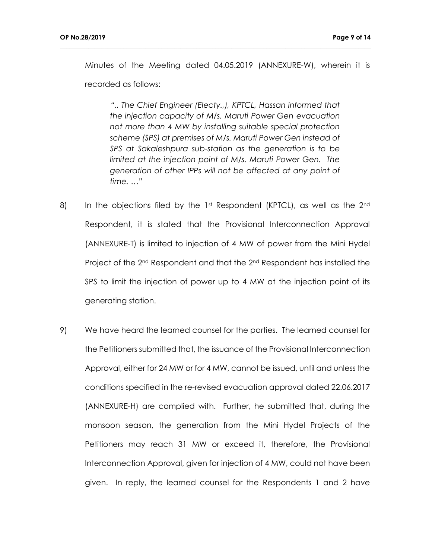Minutes of the Meeting dated 04.05.2019 (ANNEXURE-W), wherein it is recorded as follows:

**\_\_\_\_\_\_\_\_\_\_\_\_\_\_\_\_\_\_\_\_\_\_\_\_\_\_\_\_\_\_\_\_\_\_\_\_\_\_\_\_\_\_\_\_\_\_\_\_\_\_\_\_\_\_\_\_\_\_\_\_\_\_\_\_\_\_\_\_\_\_\_\_\_\_\_\_\_\_\_\_\_\_\_\_\_\_\_\_\_\_\_\_\_\_\_\_\_\_**

*".. The Chief Engineer (Electy.,), KPTCL, Hassan informed that the injection capacity of M/s. Maruti Power Gen evacuation not more than 4 MW by installing suitable special protection scheme (SPS) at premises of M/s. Maruti Power Gen instead of SPS at Sakaleshpura sub-station as the generation is to be limited at the injection point of M/s. Maruti Power Gen. The generation of other IPPs will not be affected at any point of time. …"*

- 8) In the objections filed by the 1st Respondent (KPTCL), as well as the 2<sup>nd</sup> Respondent, it is stated that the Provisional Interconnection Approval (ANNEXURE-T) is limited to injection of 4 MW of power from the Mini Hydel Project of the 2<sup>nd</sup> Respondent and that the 2<sup>nd</sup> Respondent has installed the SPS to limit the injection of power up to 4 MW at the injection point of its generating station.
- 9) We have heard the learned counsel for the parties. The learned counsel for the Petitioners submitted that, the issuance of the Provisional Interconnection Approval, either for 24 MW or for 4 MW, cannot be issued, until and unless the conditions specified in the re-revised evacuation approval dated 22.06.2017 (ANNEXURE-H) are complied with. Further, he submitted that, during the monsoon season, the generation from the Mini Hydel Projects of the Petitioners may reach 31 MW or exceed it, therefore, the Provisional Interconnection Approval, given for injection of 4 MW, could not have been given. In reply, the learned counsel for the Respondents 1 and 2 have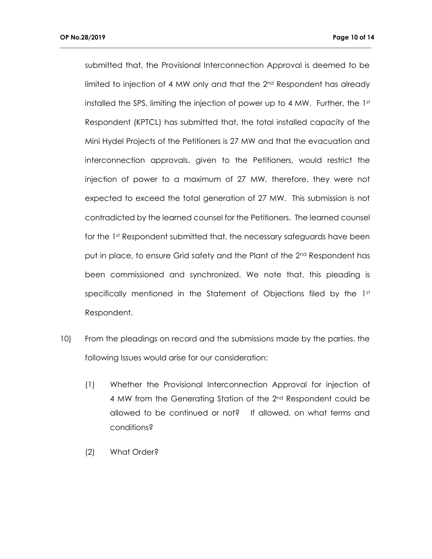submitted that, the Provisional Interconnection Approval is deemed to be limited to injection of 4 MW only and that the 2<sup>nd</sup> Respondent has already installed the SPS, limiting the injection of power up to 4 MW. Further, the 1st Respondent (KPTCL) has submitted that, the total installed capacity of the Mini Hydel Projects of the Petitioners is 27 MW and that the evacuation and interconnection approvals, given to the Petitioners, would restrict the injection of power to a maximum of 27 MW, therefore, they were not expected to exceed the total generation of 27 MW. This submission is not contradicted by the learned counsel for the Petitioners. The learned counsel for the 1st Respondent submitted that, the necessary safeguards have been put in place, to ensure Grid safety and the Plant of the 2<sup>nd</sup> Respondent has been commissioned and synchronized. We note that, this pleading is specifically mentioned in the Statement of Objections filed by the  $1<sup>st</sup>$ Respondent.

- 10) From the pleadings on record and the submissions made by the parties, the following Issues would arise for our consideration:
	- (1) Whether the Provisional Interconnection Approval for injection of 4 MW from the Generating Station of the 2nd Respondent could be allowed to be continued or not? If allowed, on what terms and conditions?
	- (2) What Order?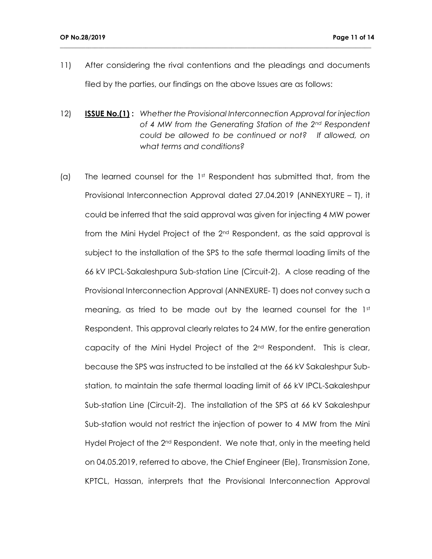11) After considering the rival contentions and the pleadings and documents filed by the parties, our findings on the above Issues are as follows:

- 12) **ISSUE No.(1) :** *Whether the Provisional Interconnection Approval for injection of 4 MW from the Generating Station of the 2nd Respondent could be allowed to be continued or not? If allowed, on what terms and conditions?*
- (a) The learned counsel for the  $1<sup>st</sup>$  Respondent has submitted that, from the Provisional Interconnection Approval dated 27.04.2019 (ANNEXYURE – T), it could be inferred that the said approval was given for injecting 4 MW power from the Mini Hydel Project of the 2nd Respondent, as the said approval is subject to the installation of the SPS to the safe thermal loading limits of the 66 kV IPCL-Sakaleshpura Sub-station Line (Circuit-2). A close reading of the Provisional Interconnection Approval (ANNEXURE- T) does not convey such a meaning, as tried to be made out by the learned counsel for the  $1<sup>st</sup>$ Respondent. This approval clearly relates to 24 MW, for the entire generation capacity of the Mini Hydel Project of the 2nd Respondent. This is clear, because the SPS was instructed to be installed at the 66 kV Sakaleshpur Substation, to maintain the safe thermal loading limit of 66 kV IPCL-Sakaleshpur Sub-station Line (Circuit-2). The installation of the SPS at 66 kV Sakaleshpur Sub-station would not restrict the injection of power to 4 MW from the Mini Hydel Project of the 2<sup>nd</sup> Respondent. We note that, only in the meeting held on 04.05.2019, referred to above, the Chief Engineer (Ele), Transmission Zone, KPTCL, Hassan, interprets that the Provisional Interconnection Approval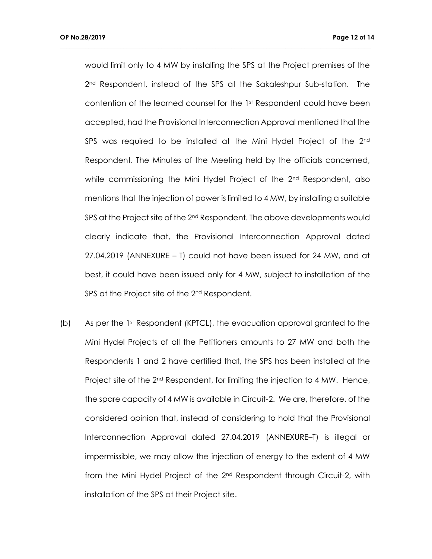would limit only to 4 MW by installing the SPS at the Project premises of the 2<sup>nd</sup> Respondent, instead of the SPS at the Sakaleshpur Sub-station. The contention of the learned counsel for the 1st Respondent could have been accepted, had the Provisional Interconnection Approval mentioned that the SPS was required to be installed at the Mini Hydel Project of the 2<sup>nd</sup> Respondent. The Minutes of the Meeting held by the officials concerned, while commissioning the Mini Hydel Project of the  $2<sup>nd</sup>$  Respondent, also mentions that the injection of power is limited to 4 MW, by installing a suitable SPS at the Project site of the 2<sup>nd</sup> Respondent. The above developments would clearly indicate that, the Provisional Interconnection Approval dated 27.04.2019 (ANNEXURE – T) could not have been issued for 24 MW, and at best, it could have been issued only for 4 MW, subject to installation of the SPS at the Project site of the 2<sup>nd</sup> Respondent.

**\_\_\_\_\_\_\_\_\_\_\_\_\_\_\_\_\_\_\_\_\_\_\_\_\_\_\_\_\_\_\_\_\_\_\_\_\_\_\_\_\_\_\_\_\_\_\_\_\_\_\_\_\_\_\_\_\_\_\_\_\_\_\_\_\_\_\_\_\_\_\_\_\_\_\_\_\_\_\_\_\_\_\_\_\_\_\_\_\_\_\_\_\_\_\_\_\_\_**

(b) As per the 1st Respondent (KPTCL), the evacuation approval granted to the Mini Hydel Projects of all the Petitioners amounts to 27 MW and both the Respondents 1 and 2 have certified that, the SPS has been installed at the Project site of the 2<sup>nd</sup> Respondent, for limiting the injection to 4 MW. Hence, the spare capacity of 4 MW is available in Circuit-2. We are, therefore, of the considered opinion that, instead of considering to hold that the Provisional Interconnection Approval dated 27.04.2019 (ANNEXURE–T) is illegal or impermissible, we may allow the injection of energy to the extent of 4 MW from the Mini Hydel Project of the 2<sup>nd</sup> Respondent through Circuit-2, with installation of the SPS at their Project site.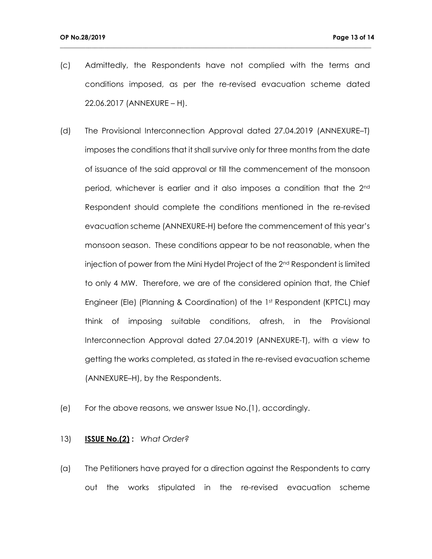(c) Admittedly, the Respondents have not complied with the terms and conditions imposed, as per the re-revised evacuation scheme dated 22.06.2017 (ANNEXURE – H).

**\_\_\_\_\_\_\_\_\_\_\_\_\_\_\_\_\_\_\_\_\_\_\_\_\_\_\_\_\_\_\_\_\_\_\_\_\_\_\_\_\_\_\_\_\_\_\_\_\_\_\_\_\_\_\_\_\_\_\_\_\_\_\_\_\_\_\_\_\_\_\_\_\_\_\_\_\_\_\_\_\_\_\_\_\_\_\_\_\_\_\_\_\_\_\_\_\_\_**

- (d) The Provisional Interconnection Approval dated 27.04.2019 (ANNEXURE–T) imposes the conditions that it shall survive only for three months from the date of issuance of the said approval or till the commencement of the monsoon period, whichever is earlier and it also imposes a condition that the 2nd Respondent should complete the conditions mentioned in the re-revised evacuation scheme (ANNEXURE-H) before the commencement of this year's monsoon season. These conditions appear to be not reasonable, when the injection of power from the Mini Hydel Project of the 2<sup>nd</sup> Respondent is limited to only 4 MW. Therefore, we are of the considered opinion that, the Chief Engineer (Ele) (Planning & Coordination) of the 1st Respondent (KPTCL) may think of imposing suitable conditions, afresh, in the Provisional Interconnection Approval dated 27.04.2019 (ANNEXURE-T), with a view to getting the works completed, as stated in the re-revised evacuation scheme (ANNEXURE–H), by the Respondents.
- (e) For the above reasons, we answer Issue No.(1), accordingly.

### 13) **ISSUE No.(2) :** *What Order?*

(a) The Petitioners have prayed for a direction against the Respondents to carry out the works stipulated in the re-revised evacuation scheme